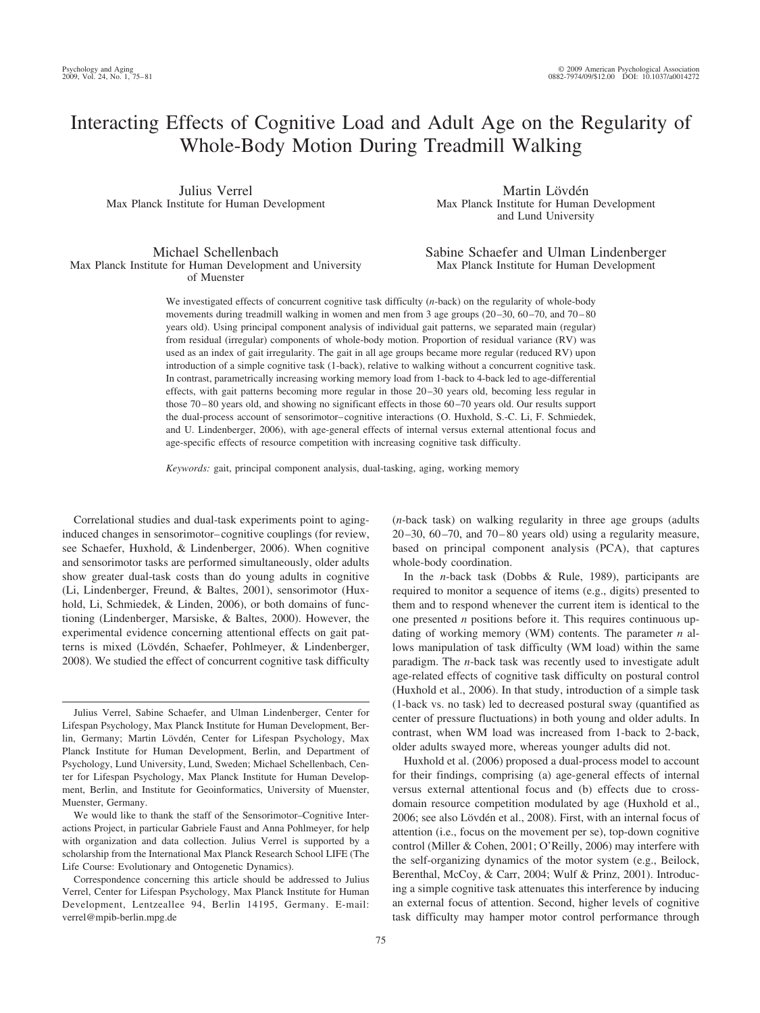# Interacting Effects of Cognitive Load and Adult Age on the Regularity of Whole-Body Motion During Treadmill Walking

Julius Verrel Max Planck Institute for Human Development

Martin Lövdén Max Planck Institute for Human Development and Lund University

Michael Schellenbach Max Planck Institute for Human Development and University of Muenster

Sabine Schaefer and Ulman Lindenberger Max Planck Institute for Human Development

We investigated effects of concurrent cognitive task difficulty (*n*-back) on the regularity of whole-body movements during treadmill walking in women and men from 3 age groups  $(20-30, 60-70, 80)$ years old). Using principal component analysis of individual gait patterns, we separated main (regular) from residual (irregular) components of whole-body motion. Proportion of residual variance (RV) was used as an index of gait irregularity. The gait in all age groups became more regular (reduced RV) upon introduction of a simple cognitive task (1-back), relative to walking without a concurrent cognitive task. In contrast, parametrically increasing working memory load from 1-back to 4-back led to age-differential effects, with gait patterns becoming more regular in those 20 –30 years old, becoming less regular in those 70 – 80 years old, and showing no significant effects in those 60 –70 years old. Our results support the dual-process account of sensorimotor– cognitive interactions (O. Huxhold, S.-C. Li, F. Schmiedek, and U. Lindenberger, 2006), with age-general effects of internal versus external attentional focus and age-specific effects of resource competition with increasing cognitive task difficulty.

*Keywords:* gait, principal component analysis, dual-tasking, aging, working memory

Correlational studies and dual-task experiments point to aginginduced changes in sensorimotor– cognitive couplings (for review, see Schaefer, Huxhold, & Lindenberger, 2006). When cognitive and sensorimotor tasks are performed simultaneously, older adults show greater dual-task costs than do young adults in cognitive (Li, Lindenberger, Freund, & Baltes, 2001), sensorimotor (Huxhold, Li, Schmiedek, & Linden, 2006), or both domains of functioning (Lindenberger, Marsiske, & Baltes, 2000). However, the experimental evidence concerning attentional effects on gait patterns is mixed (Lövdén, Schaefer, Pohlmeyer, & Lindenberger, 2008). We studied the effect of concurrent cognitive task difficulty

(*n*-back task) on walking regularity in three age groups (adults 20 $-30$ , 60 $-70$ , and 70 $-80$  years old) using a regularity measure, based on principal component analysis (PCA), that captures whole-body coordination.

In the *n*-back task (Dobbs & Rule, 1989), participants are required to monitor a sequence of items (e.g., digits) presented to them and to respond whenever the current item is identical to the one presented *n* positions before it. This requires continuous updating of working memory (WM) contents. The parameter *n* allows manipulation of task difficulty (WM load) within the same paradigm. The *n*-back task was recently used to investigate adult age-related effects of cognitive task difficulty on postural control (Huxhold et al., 2006). In that study, introduction of a simple task (1-back vs. no task) led to decreased postural sway (quantified as center of pressure fluctuations) in both young and older adults. In contrast, when WM load was increased from 1-back to 2-back, older adults swayed more, whereas younger adults did not.

Huxhold et al. (2006) proposed a dual-process model to account for their findings, comprising (a) age-general effects of internal versus external attentional focus and (b) effects due to crossdomain resource competition modulated by age (Huxhold et al., 2006; see also Lövdén et al., 2008). First, with an internal focus of attention (i.e., focus on the movement per se), top-down cognitive control (Miller & Cohen, 2001; O'Reilly, 2006) may interfere with the self-organizing dynamics of the motor system (e.g., Beilock, Berenthal, McCoy, & Carr, 2004; Wulf & Prinz, 2001). Introducing a simple cognitive task attenuates this interference by inducing an external focus of attention. Second, higher levels of cognitive task difficulty may hamper motor control performance through

Julius Verrel, Sabine Schaefer, and Ulman Lindenberger, Center for Lifespan Psychology, Max Planck Institute for Human Development, Berlin, Germany; Martin Lövdén, Center for Lifespan Psychology, Max Planck Institute for Human Development, Berlin, and Department of Psychology, Lund University, Lund, Sweden; Michael Schellenbach, Center for Lifespan Psychology, Max Planck Institute for Human Development, Berlin, and Institute for Geoinformatics, University of Muenster, Muenster, Germany.

We would like to thank the staff of the Sensorimotor–Cognitive Interactions Project, in particular Gabriele Faust and Anna Pohlmeyer, for help with organization and data collection. Julius Verrel is supported by a scholarship from the International Max Planck Research School LIFE (The Life Course: Evolutionary and Ontogenetic Dynamics).

Correspondence concerning this article should be addressed to Julius Verrel, Center for Lifespan Psychology, Max Planck Institute for Human Development, Lentzeallee 94, Berlin 14195, Germany. E-mail: verrel@mpib-berlin.mpg.de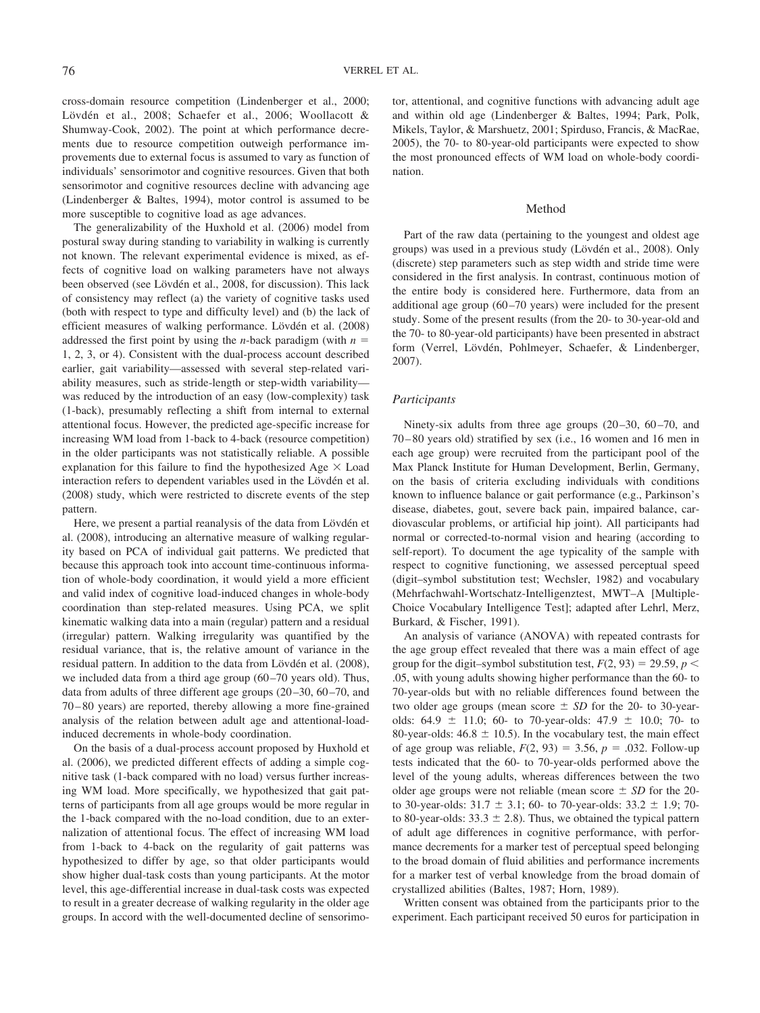cross-domain resource competition (Lindenberger et al., 2000; Lövdén et al., 2008; Schaefer et al., 2006; Woollacott & Shumway-Cook, 2002). The point at which performance decrements due to resource competition outweigh performance improvements due to external focus is assumed to vary as function of individuals' sensorimotor and cognitive resources. Given that both sensorimotor and cognitive resources decline with advancing age (Lindenberger & Baltes, 1994), motor control is assumed to be more susceptible to cognitive load as age advances.

The generalizability of the Huxhold et al. (2006) model from postural sway during standing to variability in walking is currently not known. The relevant experimental evidence is mixed, as effects of cognitive load on walking parameters have not always been observed (see Lövdén et al., 2008, for discussion). This lack of consistency may reflect (a) the variety of cognitive tasks used (both with respect to type and difficulty level) and (b) the lack of efficient measures of walking performance. Lövdén et al. (2008) addressed the first point by using the *n*-back paradigm (with  $n =$ 1, 2, 3, or 4). Consistent with the dual-process account described earlier, gait variability—assessed with several step-related variability measures, such as stride-length or step-width variability was reduced by the introduction of an easy (low-complexity) task (1-back), presumably reflecting a shift from internal to external attentional focus. However, the predicted age-specific increase for increasing WM load from 1-back to 4-back (resource competition) in the older participants was not statistically reliable. A possible explanation for this failure to find the hypothesized Age  $\times$  Load interaction refers to dependent variables used in the Lövdén et al. (2008) study, which were restricted to discrete events of the step pattern.

Here, we present a partial reanalysis of the data from Lövdén et al. (2008), introducing an alternative measure of walking regularity based on PCA of individual gait patterns. We predicted that because this approach took into account time-continuous information of whole-body coordination, it would yield a more efficient and valid index of cognitive load-induced changes in whole-body coordination than step-related measures. Using PCA, we split kinematic walking data into a main (regular) pattern and a residual (irregular) pattern. Walking irregularity was quantified by the residual variance, that is, the relative amount of variance in the residual pattern. In addition to the data from Lövdén et al. (2008), we included data from a third age group (60–70 years old). Thus, data from adults of three different age groups (20–30, 60–70, and 70 – 80 years) are reported, thereby allowing a more fine-grained analysis of the relation between adult age and attentional-loadinduced decrements in whole-body coordination.

On the basis of a dual-process account proposed by Huxhold et al. (2006), we predicted different effects of adding a simple cognitive task (1-back compared with no load) versus further increasing WM load. More specifically, we hypothesized that gait patterns of participants from all age groups would be more regular in the 1-back compared with the no-load condition, due to an externalization of attentional focus. The effect of increasing WM load from 1-back to 4-back on the regularity of gait patterns was hypothesized to differ by age, so that older participants would show higher dual-task costs than young participants. At the motor level, this age-differential increase in dual-task costs was expected to result in a greater decrease of walking regularity in the older age groups. In accord with the well-documented decline of sensorimotor, attentional, and cognitive functions with advancing adult age and within old age (Lindenberger & Baltes, 1994; Park, Polk, Mikels, Taylor, & Marshuetz, 2001; Spirduso, Francis, & MacRae, 2005), the 70- to 80-year-old participants were expected to show the most pronounced effects of WM load on whole-body coordination.

#### Method

Part of the raw data (pertaining to the youngest and oldest age groups) was used in a previous study (Lövdén et al., 2008). Only (discrete) step parameters such as step width and stride time were considered in the first analysis. In contrast, continuous motion of the entire body is considered here. Furthermore, data from an additional age group (60 –70 years) were included for the present study. Some of the present results (from the 20- to 30-year-old and the 70- to 80-year-old participants) have been presented in abstract form (Verrel, Lövdén, Pohlmeyer, Schaefer, & Lindenberger, 2007).

# *Participants*

Ninety-six adults from three age groups (20–30, 60–70, and 70 – 80 years old) stratified by sex (i.e., 16 women and 16 men in each age group) were recruited from the participant pool of the Max Planck Institute for Human Development, Berlin, Germany, on the basis of criteria excluding individuals with conditions known to influence balance or gait performance (e.g., Parkinson's disease, diabetes, gout, severe back pain, impaired balance, cardiovascular problems, or artificial hip joint). All participants had normal or corrected-to-normal vision and hearing (according to self-report). To document the age typicality of the sample with respect to cognitive functioning, we assessed perceptual speed (digit–symbol substitution test; Wechsler, 1982) and vocabulary (Mehrfachwahl-Wortschatz-Intelligenztest, MWT–A [Multiple-Choice Vocabulary Intelligence Test]; adapted after Lehrl, Merz, Burkard, & Fischer, 1991).

An analysis of variance (ANOVA) with repeated contrasts for the age group effect revealed that there was a main effect of age group for the digit–symbol substitution test,  $F(2, 93) = 29.59$ ,  $p <$ .05, with young adults showing higher performance than the 60- to 70-year-olds but with no reliable differences found between the two older age groups (mean score  $\pm$  *SD* for the 20- to 30-yearolds:  $64.9 \pm 11.0$ ;  $60-$  to 70-year-olds:  $47.9 \pm 10.0$ ; 70- to 80-year-olds:  $46.8 \pm 10.5$ ). In the vocabulary test, the main effect of age group was reliable,  $F(2, 93) = 3.56$ ,  $p = .032$ . Follow-up tests indicated that the 60- to 70-year-olds performed above the level of the young adults, whereas differences between the two older age groups were not reliable (mean score  $\pm$  SD for the 20to 30-year-olds:  $31.7 \pm 3.1$ ; 60- to 70-year-olds:  $33.2 \pm 1.9$ ; 70to 80-year-olds:  $33.3 \pm 2.8$ ). Thus, we obtained the typical pattern of adult age differences in cognitive performance, with performance decrements for a marker test of perceptual speed belonging to the broad domain of fluid abilities and performance increments for a marker test of verbal knowledge from the broad domain of crystallized abilities (Baltes, 1987; Horn, 1989).

Written consent was obtained from the participants prior to the experiment. Each participant received 50 euros for participation in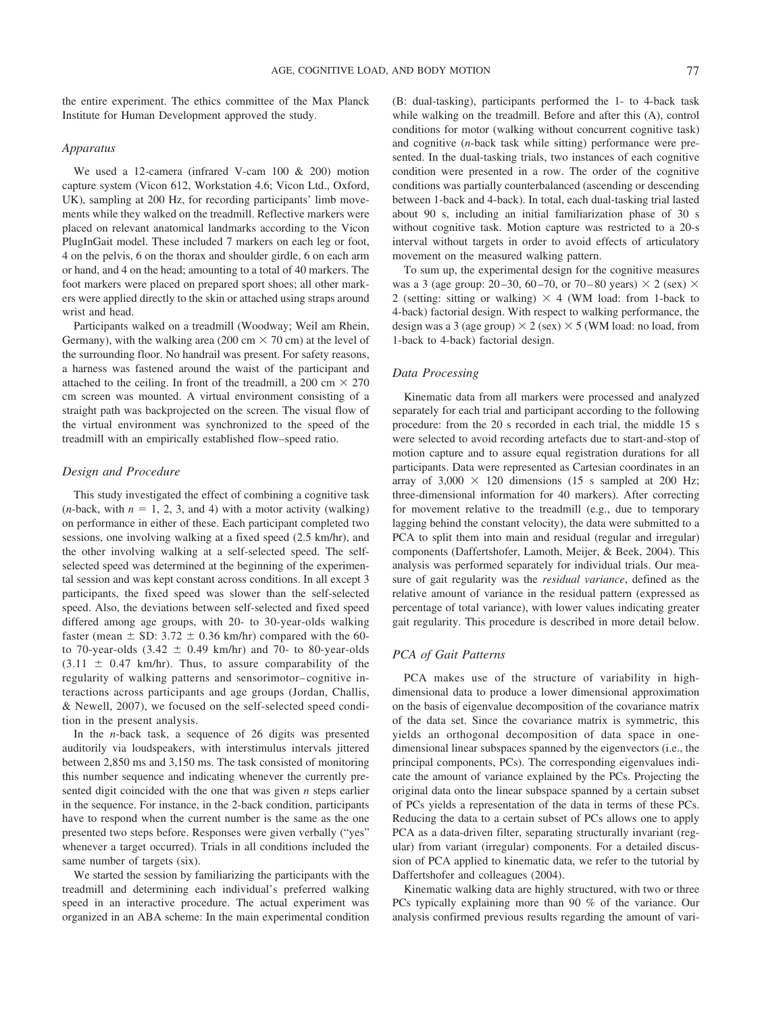the entire experiment. The ethics committee of the Max Planck Institute for Human Development approved the study.

# *Apparatus*

We used a 12-camera (infrared V-cam 100 & 200) motion capture system (Vicon 612, Workstation 4.6; Vicon Ltd., Oxford, UK), sampling at 200 Hz, for recording participants' limb movements while they walked on the treadmill. Reflective markers were placed on relevant anatomical landmarks according to the Vicon PlugInGait model. These included 7 markers on each leg or foot, 4 on the pelvis, 6 on the thorax and shoulder girdle, 6 on each arm or hand, and 4 on the head; amounting to a total of 40 markers. The foot markers were placed on prepared sport shoes; all other markers were applied directly to the skin or attached using straps around wrist and head.

Participants walked on a treadmill (Woodway; Weil am Rhein, Germany), with the walking area (200 cm  $\times$  70 cm) at the level of the surrounding floor. No handrail was present. For safety reasons, a harness was fastened around the waist of the participant and attached to the ceiling. In front of the treadmill, a 200 cm  $\times$  270 cm screen was mounted. A virtual environment consisting of a straight path was backprojected on the screen. The visual flow of the virtual environment was synchronized to the speed of the treadmill with an empirically established flow–speed ratio.

### *Design and Procedure*

This study investigated the effect of combining a cognitive task  $(n$ -back, with  $n = 1, 2, 3$ , and 4) with a motor activity (walking) on performance in either of these. Each participant completed two sessions, one involving walking at a fixed speed (2.5 km/hr), and the other involving walking at a self-selected speed. The selfselected speed was determined at the beginning of the experimental session and was kept constant across conditions. In all except 3 participants, the fixed speed was slower than the self-selected speed. Also, the deviations between self-selected and fixed speed differed among age groups, with 20- to 30-year-olds walking faster (mean  $\pm$  SD: 3.72  $\pm$  0.36 km/hr) compared with the 60to 70-year-olds  $(3.42 \pm 0.49 \text{ km/hr})$  and 70- to 80-year-olds  $(3.11 \pm 0.47 \text{ km/hr})$ . Thus, to assure comparability of the regularity of walking patterns and sensorimotor– cognitive interactions across participants and age groups (Jordan, Challis, & Newell, 2007), we focused on the self-selected speed condition in the present analysis.

In the *n*-back task, a sequence of 26 digits was presented auditorily via loudspeakers, with interstimulus intervals jittered between 2,850 ms and 3,150 ms. The task consisted of monitoring this number sequence and indicating whenever the currently presented digit coincided with the one that was given *n* steps earlier in the sequence. For instance, in the 2-back condition, participants have to respond when the current number is the same as the one presented two steps before. Responses were given verbally ("yes" whenever a target occurred). Trials in all conditions included the same number of targets (six).

We started the session by familiarizing the participants with the treadmill and determining each individual's preferred walking speed in an interactive procedure. The actual experiment was organized in an ABA scheme: In the main experimental condition (B: dual-tasking), participants performed the 1- to 4-back task while walking on the treadmill. Before and after this (A), control conditions for motor (walking without concurrent cognitive task) and cognitive (*n*-back task while sitting) performance were presented. In the dual-tasking trials, two instances of each cognitive condition were presented in a row. The order of the cognitive conditions was partially counterbalanced (ascending or descending between 1-back and 4-back). In total, each dual-tasking trial lasted about 90 s, including an initial familiarization phase of 30 s without cognitive task. Motion capture was restricted to a 20-s interval without targets in order to avoid effects of articulatory movement on the measured walking pattern.

To sum up, the experimental design for the cognitive measures was a 3 (age group: 20–30, 60–70, or 70–80 years)  $\times$  2 (sex)  $\times$ 2 (setting: sitting or walking)  $\times$  4 (WM load: from 1-back to 4-back) factorial design. With respect to walking performance, the design was a 3 (age group)  $\times$  2 (sex)  $\times$  5 (WM load: no load, from 1-back to 4-back) factorial design.

# *Data Processing*

Kinematic data from all markers were processed and analyzed separately for each trial and participant according to the following procedure: from the 20 s recorded in each trial, the middle 15 s were selected to avoid recording artefacts due to start-and-stop of motion capture and to assure equal registration durations for all participants. Data were represented as Cartesian coordinates in an array of  $3,000 \times 120$  dimensions (15 s sampled at 200 Hz; three-dimensional information for 40 markers). After correcting for movement relative to the treadmill (e.g., due to temporary lagging behind the constant velocity), the data were submitted to a PCA to split them into main and residual (regular and irregular) components (Daffertshofer, Lamoth, Meijer, & Beek, 2004). This analysis was performed separately for individual trials. Our measure of gait regularity was the *residual variance*, defined as the relative amount of variance in the residual pattern (expressed as percentage of total variance), with lower values indicating greater gait regularity. This procedure is described in more detail below.

# *PCA of Gait Patterns*

PCA makes use of the structure of variability in highdimensional data to produce a lower dimensional approximation on the basis of eigenvalue decomposition of the covariance matrix of the data set. Since the covariance matrix is symmetric, this yields an orthogonal decomposition of data space in onedimensional linear subspaces spanned by the eigenvectors (i.e., the principal components, PCs). The corresponding eigenvalues indicate the amount of variance explained by the PCs. Projecting the original data onto the linear subspace spanned by a certain subset of PCs yields a representation of the data in terms of these PCs. Reducing the data to a certain subset of PCs allows one to apply PCA as a data-driven filter, separating structurally invariant (regular) from variant (irregular) components. For a detailed discussion of PCA applied to kinematic data, we refer to the tutorial by Daffertshofer and colleagues (2004).

Kinematic walking data are highly structured, with two or three PCs typically explaining more than 90 % of the variance. Our analysis confirmed previous results regarding the amount of vari-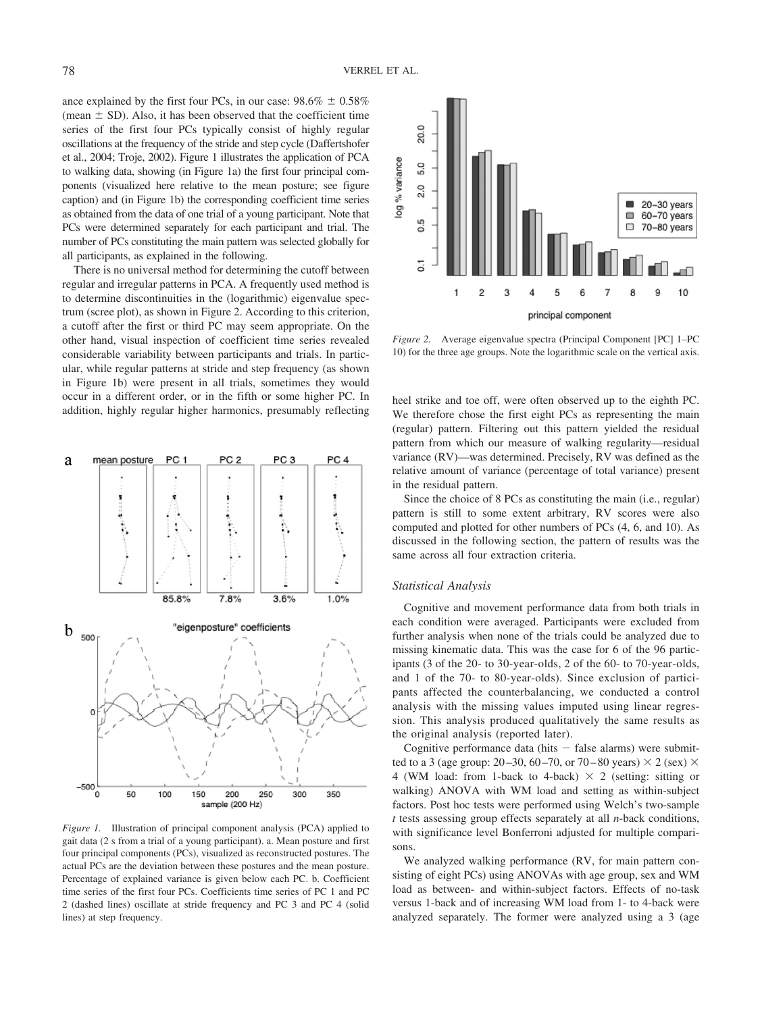ance explained by the first four PCs, in our case:  $98.6\% \pm 0.58\%$ (mean  $\pm$  SD). Also, it has been observed that the coefficient time series of the first four PCs typically consist of highly regular oscillations at the frequency of the stride and step cycle (Daffertshofer et al., 2004; Troje, 2002). Figure 1 illustrates the application of PCA to walking data, showing (in Figure 1a) the first four principal components (visualized here relative to the mean posture; see figure caption) and (in Figure 1b) the corresponding coefficient time series as obtained from the data of one trial of a young participant. Note that PCs were determined separately for each participant and trial. The number of PCs constituting the main pattern was selected globally for all participants, as explained in the following.

There is no universal method for determining the cutoff between regular and irregular patterns in PCA. A frequently used method is to determine discontinuities in the (logarithmic) eigenvalue spectrum (scree plot), as shown in Figure 2. According to this criterion, a cutoff after the first or third PC may seem appropriate. On the other hand, visual inspection of coefficient time series revealed considerable variability between participants and trials. In particular, while regular patterns at stride and step frequency (as shown in Figure 1b) were present in all trials, sometimes they would occur in a different order, or in the fifth or some higher PC. In occur in a different order, or in the fifth or some higher PC. In heel strike and toe off, were often observed up to the eighth PC.<br>addition, highly regular higher harmonics, presumably reflecting We therefore chose the fi



*Figure 1.* Illustration of principal component analysis (PCA) applied to gait data (2 s from a trial of a young participant). a. Mean posture and first four principal components (PCs), visualized as reconstructed postures. The actual PCs are the deviation between these postures and the mean posture. Percentage of explained variance is given below each PC. b. Coefficient time series of the first four PCs. Coefficients time series of PC 1 and PC 2 (dashed lines) oscillate at stride frequency and PC 3 and PC 4 (solid lines) at step frequency.



*Figure 2.* Average eigenvalue spectra (Principal Component [PC] 1–PC 10) for the three age groups. Note the logarithmic scale on the vertical axis.

We therefore chose the first eight PCs as representing the main (regular) pattern. Filtering out this pattern yielded the residual pattern from which our measure of walking regularity—residual variance (RV)—was determined. Precisely, RV was defined as the relative amount of variance (percentage of total variance) present in the residual pattern.

Since the choice of 8 PCs as constituting the main (i.e., regular) pattern is still to some extent arbitrary, RV scores were also computed and plotted for other numbers of PCs (4, 6, and 10). As discussed in the following section, the pattern of results was the same across all four extraction criteria.

#### *Statistical Analysis*

Cognitive and movement performance data from both trials in each condition were averaged. Participants were excluded from further analysis when none of the trials could be analyzed due to missing kinematic data. This was the case for 6 of the 96 participants (3 of the 20- to 30-year-olds, 2 of the 60- to 70-year-olds, and 1 of the 70- to 80-year-olds). Since exclusion of participants affected the counterbalancing, we conducted a control analysis with the missing values imputed using linear regression. This analysis produced qualitatively the same results as the original analysis (reported later).

Cognitive performance data (hits  $-$  false alarms) were submitted to a 3 (age group: 20–30, 60–70, or 70–80 years)  $\times$  2 (sex)  $\times$ 4 (WM load: from 1-back to 4-back)  $\times$  2 (setting: sitting or walking) ANOVA with WM load and setting as within-subject factors. Post hoc tests were performed using Welch's two-sample *t* tests assessing group effects separately at all *n*-back conditions, with significance level Bonferroni adjusted for multiple comparisons.

We analyzed walking performance (RV, for main pattern consisting of eight PCs) using ANOVAs with age group, sex and WM load as between- and within-subject factors. Effects of no-task versus 1-back and of increasing WM load from 1- to 4-back were analyzed separately. The former were analyzed using a 3 (age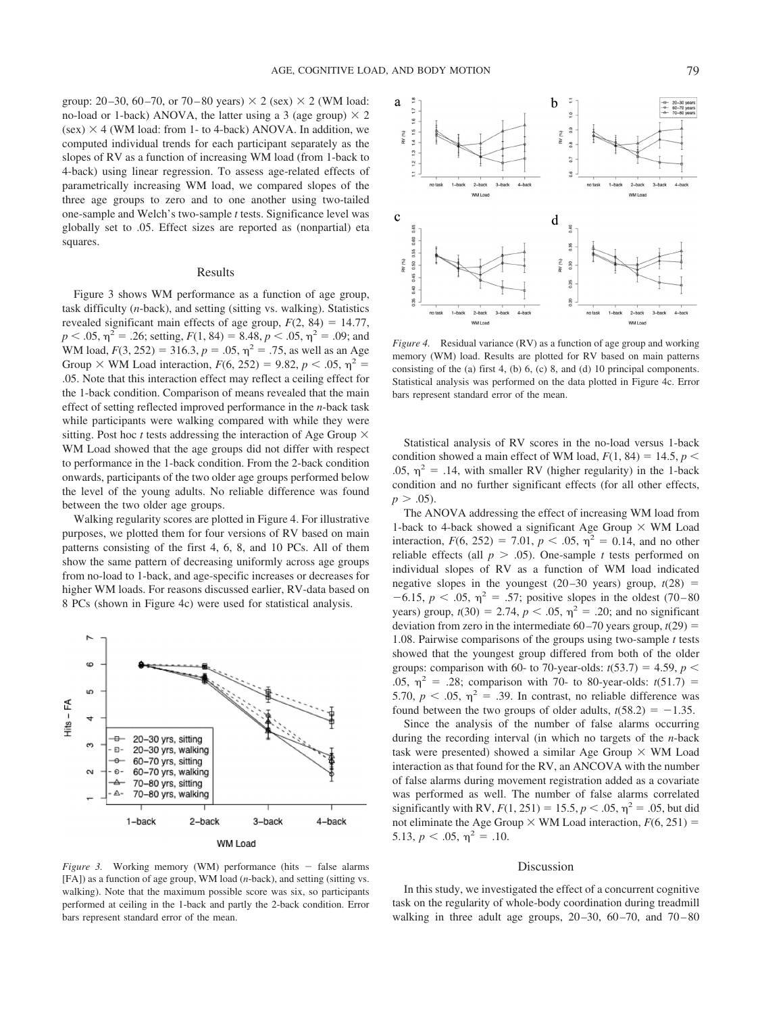group: 20–30, 60–70, or 70–80 years)  $\times$  2 (sex)  $\times$  2 (WM load: no-load or 1-back) ANOVA, the latter using a 3 (age group)  $\times$  2  $(\text{sex}) \times 4$  (WM load: from 1- to 4-back) ANOVA. In addition, we computed individual trends for each participant separately as the slopes of RV as a function of increasing WM load (from 1-back to 4-back) using linear regression. To assess age-related effects of parametrically increasing WM load, we compared slopes of the three age groups to zero and to one another using two-tailed one-sample and Welch's two-sample *t* tests. Significance level was globally set to .05. Effect sizes are reported as (nonpartial) eta squares.

#### Results

Figure 3 shows WM performance as a function of age group, task difficulty (*n*-back), and setting (sitting vs. walking). Statistics revealed significant main effects of age group,  $F(2, 84) = 14.77$ ,  $p < .05$ ,  $\eta^2 = .26$ ; setting,  $F(1, 84) = 8.48$ ,  $p < .05$ ,  $\eta^2 = .09$ ; and WM load,  $F(3, 252) = 316.3, p = .05, \eta^2 = .75$ , as well as an Age Group  $\times$  WM Load interaction,  $F(6, 252) = 9.82, p < .05, \eta^2 =$ .05. Note that this interaction effect may reflect a ceiling effect for the 1-back condition. Comparison of means revealed that the main effect of setting reflected improved performance in the *n*-back task while participants were walking compared with while they were sitting. Post hoc *t* tests addressing the interaction of Age Group  $\times$ WM Load showed that the age groups did not differ with respect to performance in the 1-back condition. From the 2-back condition onwards, participants of the two older age groups performed below the level of the young adults. No reliable difference was found between the two older age groups.

Walking regularity scores are plotted in Figure 4. For illustrative purposes, we plotted them for four versions of RV based on main patterns consisting of the first 4, 6, 8, and 10 PCs. All of them show the same pattern of decreasing uniformly across age groups from no-load to 1-back, and age-specific increases or decreases for higher WM loads. For reasons discussed earlier, RV-data based on 8 PCs (shown in Figure 4c) were used for statistical analysis.



*Figure 3.* Working memory (WM) performance (hits  $-$  false alarms [FA]) as a function of age group, WM load (*n*-back), and setting (sitting vs. walking). Note that the maximum possible score was six, so participants performed at ceiling in the 1-back and partly the 2-back condition. Error bars represent standard error of the mean.



*Figure 4.* Residual variance (RV) as a function of age group and working memory (WM) load. Results are plotted for RV based on main patterns consisting of the (a) first 4, (b) 6, (c) 8, and (d) 10 principal components. Statistical analysis was performed on the data plotted in Figure 4c. Error bars represent standard error of the mean.

Statistical analysis of RV scores in the no-load versus 1-back condition showed a main effect of WM load,  $F(1, 84) = 14.5$ ,  $p \le$ .05,  $\eta^2$  = .14, with smaller RV (higher regularity) in the 1-back condition and no further significant effects (for all other effects,  $p > .05$ ).

The ANOVA addressing the effect of increasing WM load from 1-back to 4-back showed a significant Age Group  $\times$  WM Load interaction,  $F(6, 252) = 7.01$ ,  $p < .05$ ,  $\eta^2 = 0.14$ , and no other reliable effects (all  $p > .05$ ). One-sample *t* tests performed on individual slopes of RV as a function of WM load indicated negative slopes in the youngest  $(20-30 \text{ years})$  group,  $t(28)$  =  $-6.15$ ,  $p < .05$ ,  $\eta^2 = .57$ ; positive slopes in the oldest (70–80) years) group,  $t(30) = 2.74$ ,  $p < .05$ ,  $\eta^2 = .20$ ; and no significant deviation from zero in the intermediate  $60-70$  years group,  $t(29)$  = 1.08. Pairwise comparisons of the groups using two-sample *t* tests showed that the youngest group differed from both of the older groups: comparison with 60- to 70-year-olds:  $t(53.7) = 4.59$ ,  $p <$ .05,  $\eta^2$  = .28; comparison with 70- to 80-year-olds:  $t(51.7)$  = 5.70,  $p < .05$ ,  $\eta^2 = .39$ . In contrast, no reliable difference was found between the two groups of older adults,  $t(58.2) = -1.35$ .

Since the analysis of the number of false alarms occurring during the recording interval (in which no targets of the *n*-back task were presented) showed a similar Age Group  $\times$  WM Load interaction as that found for the RV, an ANCOVA with the number of false alarms during movement registration added as a covariate was performed as well. The number of false alarms correlated significantly with RV,  $F(1, 251) = 15.5, p < .05, \eta^2 = .05$ , but did not eliminate the Age Group  $\times$  WM Load interaction,  $F(6, 251) =$ 5.13,  $p < .05$ ,  $\eta^2 = .10$ .

#### Discussion

In this study, we investigated the effect of a concurrent cognitive task on the regularity of whole-body coordination during treadmill walking in three adult age groups,  $20-30$ ,  $60-70$ , and  $70-80$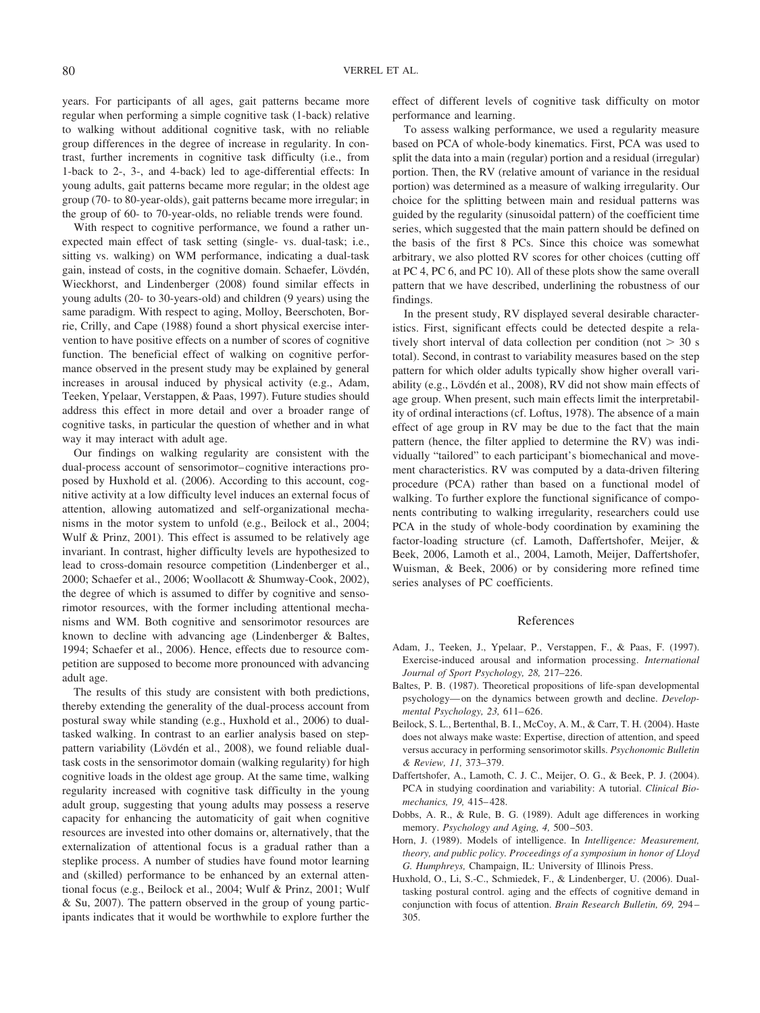years. For participants of all ages, gait patterns became more regular when performing a simple cognitive task (1-back) relative to walking without additional cognitive task, with no reliable group differences in the degree of increase in regularity. In contrast, further increments in cognitive task difficulty (i.e., from 1-back to 2-, 3-, and 4-back) led to age-differential effects: In young adults, gait patterns became more regular; in the oldest age group (70- to 80-year-olds), gait patterns became more irregular; in the group of 60- to 70-year-olds, no reliable trends were found.

With respect to cognitive performance, we found a rather unexpected main effect of task setting (single- vs. dual-task; i.e., sitting vs. walking) on WM performance, indicating a dual-task gain, instead of costs, in the cognitive domain. Schaefer, Lövdén, Wieckhorst, and Lindenberger (2008) found similar effects in young adults (20- to 30-years-old) and children (9 years) using the same paradigm. With respect to aging, Molloy, Beerschoten, Borrie, Crilly, and Cape (1988) found a short physical exercise intervention to have positive effects on a number of scores of cognitive function. The beneficial effect of walking on cognitive performance observed in the present study may be explained by general increases in arousal induced by physical activity (e.g., Adam, Teeken, Ypelaar, Verstappen, & Paas, 1997). Future studies should address this effect in more detail and over a broader range of cognitive tasks, in particular the question of whether and in what way it may interact with adult age.

Our findings on walking regularity are consistent with the dual-process account of sensorimotor– cognitive interactions proposed by Huxhold et al. (2006). According to this account, cognitive activity at a low difficulty level induces an external focus of attention, allowing automatized and self-organizational mechanisms in the motor system to unfold (e.g., Beilock et al., 2004; Wulf & Prinz, 2001). This effect is assumed to be relatively age invariant. In contrast, higher difficulty levels are hypothesized to lead to cross-domain resource competition (Lindenberger et al., 2000; Schaefer et al., 2006; Woollacott & Shumway-Cook, 2002), the degree of which is assumed to differ by cognitive and sensorimotor resources, with the former including attentional mechanisms and WM. Both cognitive and sensorimotor resources are known to decline with advancing age (Lindenberger & Baltes, 1994; Schaefer et al., 2006). Hence, effects due to resource competition are supposed to become more pronounced with advancing adult age.

The results of this study are consistent with both predictions, thereby extending the generality of the dual-process account from postural sway while standing (e.g., Huxhold et al., 2006) to dualtasked walking. In contrast to an earlier analysis based on steppattern variability (Lövdén et al., 2008), we found reliable dualtask costs in the sensorimotor domain (walking regularity) for high cognitive loads in the oldest age group. At the same time, walking regularity increased with cognitive task difficulty in the young adult group, suggesting that young adults may possess a reserve capacity for enhancing the automaticity of gait when cognitive resources are invested into other domains or, alternatively, that the externalization of attentional focus is a gradual rather than a steplike process. A number of studies have found motor learning and (skilled) performance to be enhanced by an external attentional focus (e.g., Beilock et al., 2004; Wulf & Prinz, 2001; Wulf & Su, 2007). The pattern observed in the group of young participants indicates that it would be worthwhile to explore further the

effect of different levels of cognitive task difficulty on motor performance and learning.

To assess walking performance, we used a regularity measure based on PCA of whole-body kinematics. First, PCA was used to split the data into a main (regular) portion and a residual (irregular) portion. Then, the RV (relative amount of variance in the residual portion) was determined as a measure of walking irregularity. Our choice for the splitting between main and residual patterns was guided by the regularity (sinusoidal pattern) of the coefficient time series, which suggested that the main pattern should be defined on the basis of the first 8 PCs. Since this choice was somewhat arbitrary, we also plotted RV scores for other choices (cutting off at PC 4, PC 6, and PC 10). All of these plots show the same overall pattern that we have described, underlining the robustness of our findings.

In the present study, RV displayed several desirable characteristics. First, significant effects could be detected despite a relatively short interval of data collection per condition (not  $> 30$  s total). Second, in contrast to variability measures based on the step pattern for which older adults typically show higher overall variability (e.g., Lövdén et al., 2008), RV did not show main effects of age group. When present, such main effects limit the interpretability of ordinal interactions (cf. Loftus, 1978). The absence of a main effect of age group in RV may be due to the fact that the main pattern (hence, the filter applied to determine the RV) was individually "tailored" to each participant's biomechanical and movement characteristics. RV was computed by a data-driven filtering procedure (PCA) rather than based on a functional model of walking. To further explore the functional significance of components contributing to walking irregularity, researchers could use PCA in the study of whole-body coordination by examining the factor-loading structure (cf. Lamoth, Daffertshofer, Meijer, & Beek, 2006, Lamoth et al., 2004, Lamoth, Meijer, Daffertshofer, Wuisman, & Beek, 2006) or by considering more refined time series analyses of PC coefficients.

#### References

- Adam, J., Teeken, J., Ypelaar, P., Verstappen, F., & Paas, F. (1997). Exercise-induced arousal and information processing. *International Journal of Sport Psychology, 28,* 217–226.
- Baltes, P. B. (1987). Theoretical propositions of life-span developmental psychology— on the dynamics between growth and decline. *Developmental Psychology, 23,* 611– 626.
- Beilock, S. L., Bertenthal, B. I., McCoy, A. M., & Carr, T. H. (2004). Haste does not always make waste: Expertise, direction of attention, and speed versus accuracy in performing sensorimotor skills. *Psychonomic Bulletin & Review, 11,* 373–379.
- Daffertshofer, A., Lamoth, C. J. C., Meijer, O. G., & Beek, P. J. (2004). PCA in studying coordination and variability: A tutorial. *Clinical Biomechanics, 19,* 415– 428.
- Dobbs, A. R., & Rule, B. G. (1989). Adult age differences in working memory. *Psychology and Aging, 4, 500–503*.
- Horn, J. (1989). Models of intelligence. In *Intelligence: Measurement, theory, and public policy. Proceedings of a symposium in honor of Lloyd G. Humphreys,* Champaign, IL: University of Illinois Press.
- Huxhold, O., Li, S.-C., Schmiedek, F., & Lindenberger, U. (2006). Dualtasking postural control. aging and the effects of cognitive demand in conjunction with focus of attention. *Brain Research Bulletin, 69,* 294 – 305.